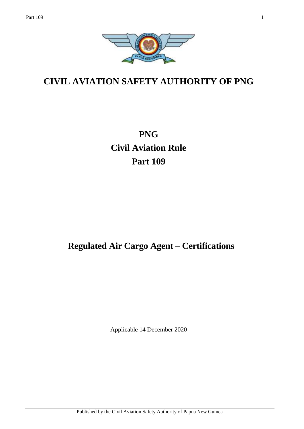

# **CIVIL AVIATION SAFETY AUTHORITY OF PNG**

**PNG Civil Aviation Rule Part 109**

# **Regulated Air Cargo Agent – Certifications**

Applicable 14 December 2020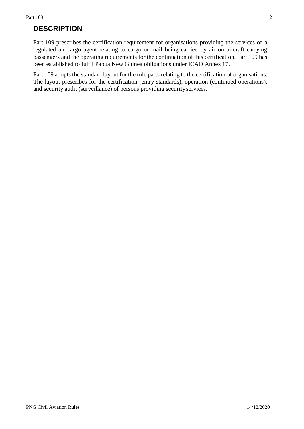# **DESCRIPTION**

Part 109 prescribes the certification requirement for organisations providing the services of a regulated air cargo agent relating to cargo or mail being carried by air on aircraft carrying passengers and the operating requirements for the continuation of this certification. Part 109 has been established to fulfil Papua New Guinea obligations under ICAO Annex 17.

Part 109 adopts the standard layout for the rule parts relating to the certification of organisations. The layout prescribes for the certification (entry standards), operation (continued operations), and security audit (surveillance) of persons providing securityservices.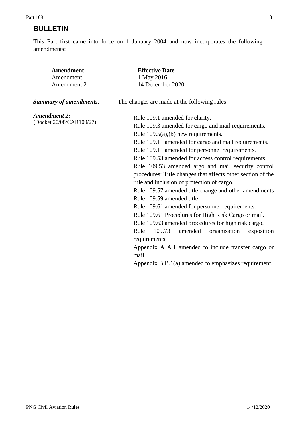# **BULLETIN**

This Part first came into force on 1 January 2004 and now incorporates the following amendments:

| <b>Amendment</b>              | <b>Effective Date</b>                                                   |  |  |
|-------------------------------|-------------------------------------------------------------------------|--|--|
| Amendment 1                   | 1 May 2016                                                              |  |  |
| Amendment 2                   | 14 December 2020                                                        |  |  |
| <b>Summary of amendments:</b> | The changes are made at the following rules:                            |  |  |
| <b>Amendment 2:</b>           | Rule 109.1 amended for clarity.                                         |  |  |
| (Docket 20/08/CAR109/27)      | Rule 109.3 amended for cargo and mail requirements.                     |  |  |
|                               | Rule $109.5(a)$ , (b) new requirements.                                 |  |  |
|                               | Rule 109.11 amended for cargo and mail requirements.                    |  |  |
|                               | Rule 109.11 amended for personnel requirements.                         |  |  |
|                               | Rule 109.53 amended for access control requirements.                    |  |  |
|                               | Rule 109.53 amended argo and mail security control                      |  |  |
|                               | procedures: Title changes that affects other section of the             |  |  |
|                               | rule and inclusion of protection of cargo.                              |  |  |
|                               | Rule 109.57 amended title change and other amendments                   |  |  |
|                               | Rule 109.59 amended title.                                              |  |  |
|                               | Rule 109.61 amended for personnel requirements.                         |  |  |
|                               | Rule 109.61 Procedures for High Risk Cargo or mail.                     |  |  |
|                               | Rule 109.63 amended procedures for high risk cargo.                     |  |  |
|                               | Rule<br>109.73<br>organisation<br>amended<br>exposition<br>requirements |  |  |
|                               | Appendix A A.1 amended to include transfer cargo or<br>mail.            |  |  |
|                               | Appendix $B B.1(a)$ amended to emphasizes requirement.                  |  |  |
|                               |                                                                         |  |  |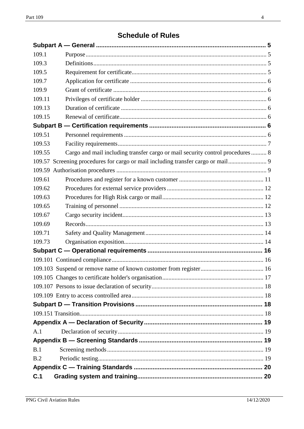# **Schedule of Rules**

| 109.1  |                                                                               |  |
|--------|-------------------------------------------------------------------------------|--|
| 109.3  |                                                                               |  |
| 109.5  |                                                                               |  |
| 109.7  |                                                                               |  |
| 109.9  |                                                                               |  |
| 109.11 |                                                                               |  |
| 109.13 |                                                                               |  |
| 109.15 |                                                                               |  |
|        |                                                                               |  |
| 109.51 |                                                                               |  |
| 109.53 |                                                                               |  |
| 109.55 | Cargo and mail including transfer cargo or mail security control procedures 8 |  |
|        |                                                                               |  |
|        |                                                                               |  |
| 109.61 |                                                                               |  |
| 109.62 |                                                                               |  |
| 109.63 |                                                                               |  |
| 109.65 |                                                                               |  |
| 109.67 |                                                                               |  |
| 109.69 |                                                                               |  |
| 109.71 |                                                                               |  |
| 109.73 |                                                                               |  |
|        |                                                                               |  |
|        |                                                                               |  |
|        |                                                                               |  |
|        |                                                                               |  |
|        |                                                                               |  |
|        |                                                                               |  |
|        |                                                                               |  |
|        |                                                                               |  |
|        |                                                                               |  |
| A.1    |                                                                               |  |
|        |                                                                               |  |
| B.1    |                                                                               |  |
| B.2    |                                                                               |  |
|        |                                                                               |  |
| C.1    |                                                                               |  |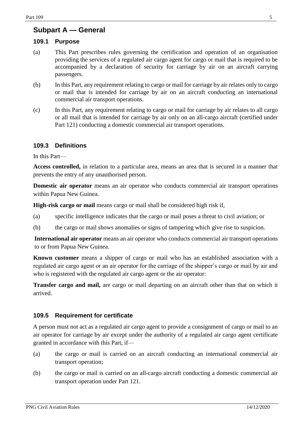## <span id="page-4-0"></span>**Subpart A — General**

#### <span id="page-4-1"></span>**109.1 Purpose**

- (a) This Part prescribes rules governing the certification and operation of an organisation providing the services of a regulated air cargo agent for cargo or mail that is required to be accompanied by a declaration of security for carriage by air on an aircraft carrying passengers.
- (b) In this Part, any requirement relating to cargo or mail for carriage by air relates only to cargo or mail that is intended for carriage by air on an aircraft conducting an international commercial air transport operations.
- (c) In this Part, any requirement relating to cargo or mail for carriage by air relates to all cargo or all mail that is intended for carriage by air only on an all-cargo aircraft (certified under Part 121) conducting a domestic commercial air transport operations.

#### <span id="page-4-2"></span>**109.3 Definitions**

In this Part—

**Access controlled,** in relation to a particular area, means an area that is secured in a manner that prevents the entry of any unauthorised person.

**Domestic air operator** means an air operator who conducts commercial air transport operations within Papua New Guinea.

**High-risk cargo or mail** means cargo or mail shall be considered high risk if,

- (a) specific intelligence indicates that the cargo or mail poses a threat to civil aviation; or
- (b) the cargo or mail shows anomalies or signs of tampering which give rise to suspicion.

**International air operator** means an air operator who conducts commercial air transport operations to or from Papua New Guinea.

**Known customer** means a shipper of cargo or mail who has an established association with a regulated air cargo agent or an air operator for the carriage of the shipper's cargo or mail by air and who is registered with the regulated air cargo agent or the air operator:

**Transfer cargo and mail,** are cargo or mail departing on an aircraft other than that on which it arrived.

#### <span id="page-4-3"></span>**109.5 Requirement for certificate**

A person must not act as a regulated air cargo agent to provide a consignment of cargo or mail to an air operator for carriage by air except under the authority of a regulated air cargo agent certificate granted in accordance with this Part, if—

- (a) the cargo or mail is carried on an aircraft conducting an international commercial air transport operation;
- (b) the cargo or mail is carried on an all-cargo aircraft conducting a domestic commercial air transport operation under Part 121.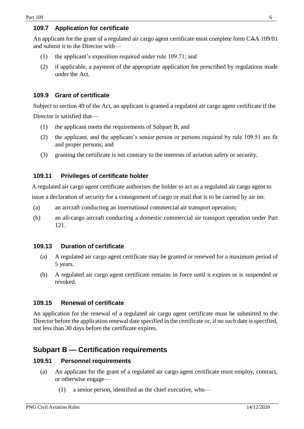#### <span id="page-5-0"></span>**109.7 Application for certificate**

An applicant for the grant of a regulated air cargo agent certificate must complete form CAA 109/01 and submit it to the Director with—

- (1) the applicant's exposition required under rule 109.71; and
- (2) if applicable, a payment of the appropriate application fee prescribed by regulations made under the Act.

### <span id="page-5-1"></span>**109.9 Grant of certificate**

Subject to section 49 of the Act, an applicant is granted a regulated air cargo agent certificate if the

Director is satisfied that—

- (1) the applicant meets the requirements of Subpart B; and
- (2) the applicant, and the applicant's senior person or persons required by rule 109.51 are fit and proper persons; and
- (3) granting the certificate is not contrary to the interests of aviation safety or security.

#### <span id="page-5-2"></span>**109.11 Privileges of certificate holder**

A regulated air cargo agent certificate authorises the holder to act as a regulated air cargo agent to issue a declaration of security for a consignment of cargo or mail that is to be carried by air on:

- (a) an aircraft conducting an international commercial air transport operation;
- (b) an all-cargo aircraft conducting a domestic commercial air transport operation under Part 121.

#### <span id="page-5-3"></span>**109.13 Duration of certificate**

- (a) A regulated air cargo agent certificate may be granted or renewed for a maximum period of 5 years.
- (b) A regulated air cargo agent certificate remains in force until it expires or is suspended or revoked.

#### <span id="page-5-4"></span>**109.15 Renewal of certificate**

An application for the renewal of a regulated air cargo agent certificate must be submitted to the Director before the application renewal date specified in the certificate or, if no such date is specified, not less than 30 days before the certificate expires.

## <span id="page-5-5"></span>**Subpart B — Certification requirements**

#### <span id="page-5-6"></span>**109.51 Personnel requirements**

- (a) An applicant for the grant of a regulated air cargo agent certificate must employ, contract, or otherwise engage—
	- (1) a senior person, identified as the chief executive, who—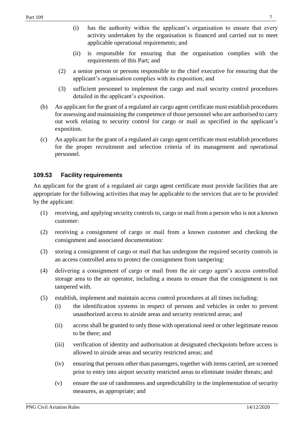- (i) has the authority within the applicant's organisation to ensure that every activity undertaken by the organisation is financed and carried out to meet applicable operational requirements; and
- (ii) is responsible for ensuring that the organisation complies with the requirements of this Part; and
- (2) a senior person or persons responsible to the chief executive for ensuring that the applicant's organisation complies with its exposition; and
- (3) sufficient personnel to implement the cargo and mail security control procedures detailed in the applicant's exposition.
- (b) An applicant for the grant of a regulated air cargo agent certificate must establish procedures for assessing and maintaining the competence of those personnel who are authorised to carry out work relating to security control for cargo or mail as specified in the applicant's exposition.
- (c) An applicant for the grant of a regulated air cargo agent certificate must establish procedures for the proper recruitment and selection criteria of its management and operational personnel.

#### <span id="page-6-0"></span>**109.53 Facility requirements**

An applicant for the grant of a regulated air cargo agent certificate must provide facilities that are appropriate for the following activities that may be applicable to the services that are to be provided by the applicant:

- (1) receiving, and applying security controls to, cargo or mail from a person who is not a known customer:
- (2) receiving a consignment of cargo or mail from a known customer and checking the consignment and associated documentation:
- (3) storing a consignment of cargo or mail that has undergone the required security controls in an access controlled area to protect the consignment from tampering:
- (4) delivering a consignment of cargo or mail from the air cargo agent's access controlled storage area to the air operator, including a means to ensure that the consignment is not tampered with.
- (5) establish, implement and maintain access control procedures at all times including:
	- (i) the identification systems in respect of persons and vehicles in order to prevent unauthorized access to airside areas and security restricted areas; and
	- (ii) access shall be granted to only those with operational need or other legitimate reason to be there; and
	- (iii) verification of identity and authorisation at designated checkpoints before access is allowed to airside areas and security restricted areas; and
	- (iv) ensuring that persons other than passengers, together with items carried, are screened prior to entry into airport security restricted areas to eliminate insider threats; and
	- (v) ensure the use of randomness and unpredictability in the implementation of security measures, as appropriate; and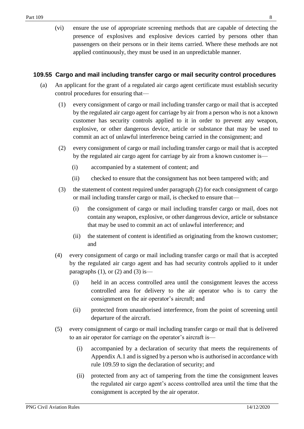(vi) ensure the use of appropriate screening methods that are capable of detecting the presence of explosives and explosive devices carried by persons other than passengers on their persons or in their items carried. Where these methods are not applied continuously, they must be used in an unpredictable manner.

#### <span id="page-7-0"></span>**109.55 Cargo and mail including transfer cargo or mail security control procedures**

- (a) An applicant for the grant of a regulated air cargo agent certificate must establish security control procedures for ensuring that—
	- (1) every consignment of cargo or mail including transfer cargo or mail that is accepted by the regulated air cargo agent for carriage by air from a person who is not a known customer has security controls applied to it in order to prevent any weapon, explosive, or other dangerous device, article or substance that may be used to commit an act of unlawful interference being carried in the consignment; and
	- (2) every consignment of cargo or mail including transfer cargo or mail that is accepted by the regulated air cargo agent for carriage by air from a known customer is—
		- (i) accompanied by a statement of content; and
		- (ii) checked to ensure that the consignment has not been tampered with; and
	- (3) the statement of content required under paragraph (2) for each consignment of cargo or mail including transfer cargo or mail, is checked to ensure that—
		- (i) the consignment of cargo or mail including transfer cargo or mail, does not contain any weapon, explosive, or other dangerous device, article or substance that may be used to commit an act of unlawful interference; and
		- (ii) the statement of content is identified as originating from the known customer; and
	- (4) every consignment of cargo or mail including transfer cargo or mail that is accepted by the regulated air cargo agent and has had security controls applied to it under paragraphs  $(1)$ , or  $(2)$  and  $(3)$  is—
		- (i) held in an access controlled area until the consignment leaves the access controlled area for delivery to the air operator who is to carry the consignment on the air operator's aircraft; and
		- (ii) protected from unauthorised interference, from the point of screening until departure of the aircraft.
	- (5) every consignment of cargo or mail including transfer cargo or mail that is delivered to an air operator for carriage on the operator's aircraft is—
		- (i) accompanied by a declaration of security that meets the requirements of Appendix A.1 and is signed by a person who is authorised in accordance with rule 109.59 to sign the declaration of security; and
		- (ii) protected from any act of tampering from the time the consignment leaves the regulated air cargo agent's access controlled area until the time that the consignment is accepted by the air operator.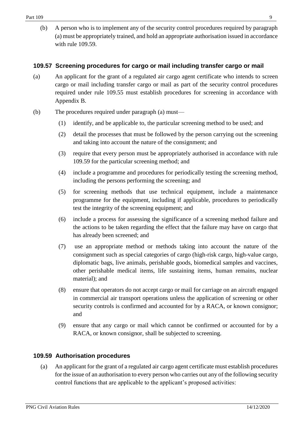(b) A person who is to implement any of the security control procedures required by paragraph (a) must be appropriately trained, and hold an appropriate authorisation issued in accordance with rule 109.59.

### <span id="page-8-0"></span>**109.57 Screening procedures for cargo or mail including transfer cargo or mail**

- (a) An applicant for the grant of a regulated air cargo agent certificate who intends to screen cargo or mail including transfer cargo or mail as part of the security control procedures required under rule 109.55 must establish procedures for screening in accordance with Appendix B.
- (b) The procedures required under paragraph (a) must—
	- (1) identify, and be applicable to, the particular screening method to be used; and
	- (2) detail the processes that must be followed by the person carrying out the screening and taking into account the nature of the consignment; and
	- (3) require that every person must be appropriately authorised in accordance with rule 109.59 for the particular screening method; and
	- (4) include a programme and procedures for periodically testing the screening method, including the persons performing the screening; and
	- (5) for screening methods that use technical equipment, include a maintenance programme for the equipment, including if applicable, procedures to periodically test the integrity of the screening equipment; and
	- (6) include a process for assessing the significance of a screening method failure and the actions to be taken regarding the effect that the failure may have on cargo that has already been screened; and
	- (7) use an appropriate method or methods taking into account the nature of the consignment such as special categories of cargo (high-risk cargo, high-value cargo, diplomatic bags, live animals, perishable goods, biomedical samples and vaccines, other perishable medical items, life sustaining items, human remains, nuclear material); and
	- (8) ensure that operators do not accept cargo or mail for carriage on an aircraft engaged in commercial air transport operations unless the application of screening or other security controls is confirmed and accounted for by a RACA, or known consignor; and
	- (9) ensure that any cargo or mail which cannot be confirmed or accounted for by a RACA, or known consignor, shall be subjected to screening.

### <span id="page-8-1"></span>**109.59 Authorisation procedures**

(a) An applicant for the grant of a regulated air cargo agent certificate must establish procedures for the issue of an authorisation to every person who carries out any of the following security control functions that are applicable to the applicant's proposed activities: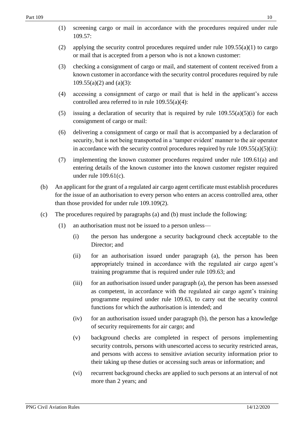- (1) screening cargo or mail in accordance with the procedures required under rule 109.57:
- (2) applying the security control procedures required under rule  $109.55(a)(1)$  to cargo or mail that is accepted from a person who is not a known customer:
- (3) checking a consignment of cargo or mail, and statement of content received from a known customer in accordance with the security control procedures required by rule  $109.55(a)(2)$  and  $(a)(3)$ :
- (4) accessing a consignment of cargo or mail that is held in the applicant's access controlled area referred to in rule 109.55(a)(4):
- (5) issuing a declaration of security that is required by rule  $109.55(a)(5)(i)$  for each consignment of cargo or mail:
- (6) delivering a consignment of cargo or mail that is accompanied by a declaration of security, but is not being transported in a 'tamper evident' manner to the air operator in accordance with the security control procedures required by rule  $109.55(a)(5)(ii)$ :
- (7) implementing the known customer procedures required under rule 109.61(a) and entering details of the known customer into the known customer register required under rule 109.61(c).
- (b) An applicant for the grant of a regulated air cargo agent certificate must establish procedures for the issue of an authorisation to every person who enters an access controlled area, other than those provided for under rule 109.109(2).
- (c) The procedures required by paragraphs (a) and (b) must include the following:
	- (1) an authorisation must not be issued to a person unless—
		- (i) the person has undergone a security background check acceptable to the Director; and
		- (ii) for an authorisation issued under paragraph (a), the person has been appropriately trained in accordance with the regulated air cargo agent's training programme that is required under rule 109.63; and
		- (iii) for an authorisation issued under paragraph (a), the person has been assessed as competent, in accordance with the regulated air cargo agent's training programme required under rule 109.63, to carry out the security control functions for which the authorisation is intended; and
		- (iv) for an authorisation issued under paragraph (b), the person has a knowledge of security requirements for air cargo; and
		- (v) background checks are completed in respect of persons implementing security controls, persons with unescorted access to security restricted areas, and persons with access to sensitive aviation security information prior to their taking up these duties or accessing such areas or information; and
		- (vi) recurrent background checks are applied to such persons at an interval of not more than 2 years; and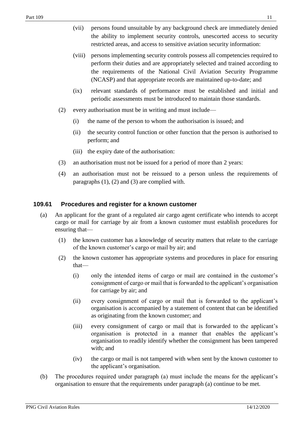- (vii) persons found unsuitable by any background check are immediately denied the ability to implement security controls, unescorted access to security restricted areas, and access to sensitive aviation security information:
- (viii) persons implementing security controls possess all competencies required to perform their duties and are appropriately selected and trained according to the requirements of the National Civil Aviation Security Programme (NCASP) and that appropriate records are maintained up-to-date; and
- (ix) relevant standards of performance must be established and initial and periodic assessments must be introduced to maintain those standards.
- (2) every authorisation must be in writing and must include—
	- (i) the name of the person to whom the authorisation is issued; and
	- (ii) the security control function or other function that the person is authorised to perform; and
	- (iii) the expiry date of the authorisation:
- (3) an authorisation must not be issued for a period of more than 2 years:
- (4) an authorisation must not be reissued to a person unless the requirements of paragraphs (1), (2) and (3) are complied with.

#### <span id="page-10-0"></span>**109.61 Procedures and register for a known customer**

- (a) An applicant for the grant of a regulated air cargo agent certificate who intends to accept cargo or mail for carriage by air from a known customer must establish procedures for ensuring that—
	- (1) the known customer has a knowledge of security matters that relate to the carriage of the known customer's cargo or mail by air; and
	- (2) the known customer has appropriate systems and procedures in place for ensuring that—
		- (i) only the intended items of cargo or mail are contained in the customer's consignment of cargo or mail that is forwarded to the applicant's organisation for carriage by air; and
		- (ii) every consignment of cargo or mail that is forwarded to the applicant's organisation is accompanied by a statement of content that can be identified as originating from the known customer; and
		- (iii) every consignment of cargo or mail that is forwarded to the applicant's organisation is protected in a manner that enables the applicant's organisation to readily identify whether the consignment has been tampered with; and
		- (iv) the cargo or mail is not tampered with when sent by the known customer to the applicant's organisation.
- (b) The procedures required under paragraph (a) must include the means for the applicant's organisation to ensure that the requirements under paragraph (a) continue to be met.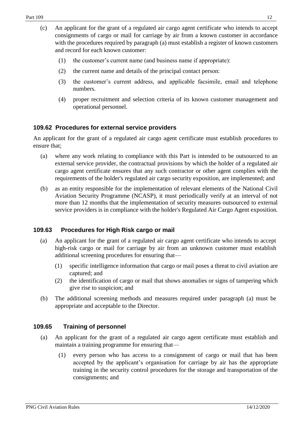- (1) the customer's current name (and business name if appropriate):
- (2) the current name and details of the principal contact person:
- (3) the customer's current address, and applicable facsimile, email and telephone numbers.
- (4) proper recruitment and selection criteria of its known customer management and operational personnel.

#### <span id="page-11-0"></span>**109.62 Procedures for external service providers**

An applicant for the grant of a regulated air cargo agent certificate must establish procedures to ensure that;

- (a) where any work relating to compliance with this Part is intended to be outsourced to an external service provider, the contractual provisions by which the holder of a regulated air cargo agent certificate ensures that any such contractor or other agent complies with the requirements of the holder's regulated air cargo security exposition, are implemented; and
- (b) as an entity responsible for the implementation of relevant elements of the National Civil Aviation Security Programme (NCASP), it must periodically verify at an interval of not more than 12 months that the implementation of security measures outsourced to external service providers is in compliance with the holder's Regulated Air Cargo Agent exposition.

### <span id="page-11-1"></span>**109.63 Procedures for High Risk cargo or mail**

- (a) An applicant for the grant of a regulated air cargo agent certificate who intends to accept high-risk cargo or mail for carriage by air from an unknown customer must establish additional screening procedures for ensuring that—
	- (1) specific intelligence information that cargo or mail poses a threat to civil aviation are captured; and
	- (2) the identification of cargo or mail that shows anomalies or signs of tampering which give rise to suspicion; and
- (b) The additional screening methods and measures required under paragraph (a) must be appropriate and acceptable to the Director.

#### <span id="page-11-2"></span>**109.65 Training of personnel**

- (a) An applicant for the grant of a regulated air cargo agent certificate must establish and maintain a training programme for ensuring that—
	- (1) every person who has access to a consignment of cargo or mail that has been accepted by the applicant's organisation for carriage by air has the appropriate training in the security control procedures for the storage and transportation of the consignments; and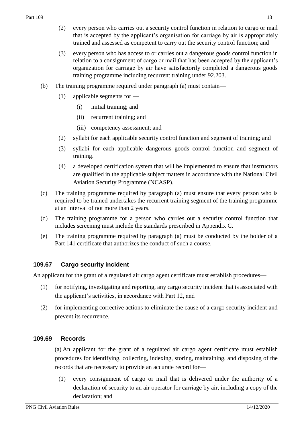- (2) every person who carries out a security control function in relation to cargo or mail that is accepted by the applicant's organisation for carriage by air is appropriately trained and assessed as competent to carry out the security control function; and
- (3) every person who has access to or carries out a dangerous goods control function in relation to a consignment of cargo or mail that has been accepted by the applicant's organization for carriage by air have satisfactorily completed a dangerous goods training programme including recurrent training under 92.203.
- (b) The training programme required under paragraph (a) must contain—
	- (1) applicable segments for
		- (i) initial training; and
		- (ii) recurrent training; and
		- (iii) competency assessment; and
	- (2) syllabi for each applicable security control function and segment of training; and
	- (3) syllabi for each applicable dangerous goods control function and segment of training.
	- (4) a developed certification system that will be implemented to ensure that instructors are qualified in the applicable subject matters in accordance with the National Civil Aviation Security Programme (NCASP).
- (c) The training programme required by paragraph (a) must ensure that every person who is required to be trained undertakes the recurrent training segment of the training programme at an interval of not more than 2 years.
- (d) The training programme for a person who carries out a security control function that includes screening must include the standards prescribed in Appendix C.
- (e) The training programme required by paragraph (a) must be conducted by the holder of a Part 141 certificate that authorizes the conduct of such a course.

#### <span id="page-12-0"></span>**109.67 Cargo security incident**

An applicant for the grant of a regulated air cargo agent certificate must establish procedures—

- (1) for notifying, investigating and reporting, any cargo security incident that is associated with the applicant's activities, in accordance with Part 12, and
- (2) for implementing corrective actions to eliminate the cause of a cargo security incident and prevent its recurrence.

#### <span id="page-12-1"></span>**109.69 Records**

(a) An applicant for the grant of a regulated air cargo agent certificate must establish procedures for identifying, collecting, indexing, storing, maintaining, and disposing of the records that are necessary to provide an accurate record for—

(1) every consignment of cargo or mail that is delivered under the authority of a declaration of security to an air operator for carriage by air, including a copy of the declaration; and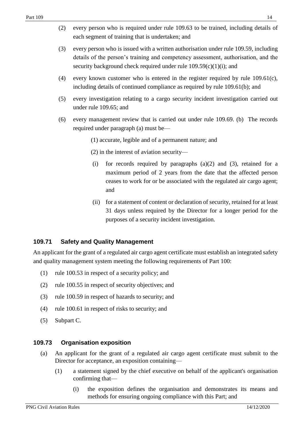- (2) every person who is required under rule 109.63 to be trained, including details of each segment of training that is undertaken; and
- (3) every person who is issued with a written authorisation under rule 109.59, including details of the person's training and competency assessment, authorisation, and the security background check required under rule  $109.59(c)(1)(i)$ ; and
- (4) every known customer who is entered in the register required by rule 109.61(c), including details of continued compliance as required by rule 109.61(b); and
- (5) every investigation relating to a cargo security incident investigation carried out under rule 109.65; and
- (6) every management review that is carried out under rule 109.69. (b) The records required under paragraph (a) must be—
	- (1) accurate, legible and of a permanent nature; and
	- (2) in the interest of aviation security—
	- (i) for records required by paragraphs (a)(2) and (3), retained for a maximum period of 2 years from the date that the affected person ceases to work for or be associated with the regulated air cargo agent; and
	- (ii) for a statement of content or declaration of security, retained for at least 31 days unless required by the Director for a longer period for the purposes of a security incident investigation.

#### <span id="page-13-0"></span>**109.71 Safety and Quality Management**

An applicant for the grant of a regulated air cargo agent certificate must establish an integrated safety and quality management system meeting the following requirements of Part 100:

- (1) rule 100.53 in respect of a security policy; and
- (2) rule 100.55 in respect of security objectives; and
- (3) rule 100.59 in respect of hazards to security; and
- (4) rule 100.61 in respect of risks to security; and
- (5) Subpart C.

#### <span id="page-13-1"></span>**109.73 Organisation exposition**

- (a) An applicant for the grant of a regulated air cargo agent certificate must submit to the Director for acceptance, an exposition containing—
	- (1) a statement signed by the chief executive on behalf of the applicant's organisation confirming that—
		- (i) the exposition defines the organisation and demonstrates its means and methods for ensuring ongoing compliance with this Part; and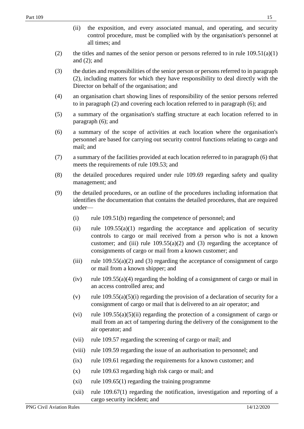- (ii) the exposition, and every associated manual, and operating, and security control procedure, must be complied with by the organisation's personnel at all times; and
- (2) the titles and names of the senior person or persons referred to in rule  $109.51(a)(1)$ and (2); and
- (3) the duties and responsibilities of the senior person or persons referred to in paragraph (2), including matters for which they have responsibility to deal directly with the Director on behalf of the organisation; and
- (4) an organisation chart showing lines of responsibility of the senior persons referred to in paragraph (2) and covering each location referred to in paragraph (6); and
- (5) a summary of the organisation's staffing structure at each location referred to in paragraph (6); and
- (6) a summary of the scope of activities at each location where the organisation's personnel are based for carrying out security control functions relating to cargo and mail; and
- (7) a summary of the facilities provided at each location referred to in paragraph (6) that meets the requirements of rule 109.53; and
- (8) the detailed procedures required under rule 109.69 regarding safety and quality management; and
- (9) the detailed procedures, or an outline of the procedures including information that identifies the documentation that contains the detailed procedures, that are required under—
	- (i) rule 109.51(b) regarding the competence of personnel; and
	- (ii) rule  $109.55(a)(1)$  regarding the acceptance and application of security controls to cargo or mail received from a person who is not a known customer; and (iii) rule  $109.55(a)(2)$  and (3) regarding the acceptance of consignments of cargo or mail from a known customer; and
	- (iii) rule  $109.55(a)(2)$  and (3) regarding the acceptance of consignment of cargo or mail from a known shipper; and
	- (iv) rule  $109.55(a)(4)$  regarding the holding of a consignment of cargo or mail in an access controlled area; and
	- (v) rule  $109.55(a)(5)(i)$  regarding the provision of a declaration of security for a consignment of cargo or mail that is delivered to an air operator; and
	- (vi) rule  $109.55(a)(5)(ii)$  regarding the protection of a consignment of cargo or mail from an act of tampering during the delivery of the consignment to the air operator; and
	- (vii) rule 109.57 regarding the screening of cargo or mail; and
	- (viii) rule 109.59 regarding the issue of an authorisation to personnel; and
	- (ix) rule 109.61 regarding the requirements for a known customer; and
	- $(x)$  rule 109.63 regarding high risk cargo or mail; and
	- $(x_i)$  rule 109.65(1) regarding the training programme
	- (xii) rule 109.67(1) regarding the notification, investigation and reporting of a cargo security incident; and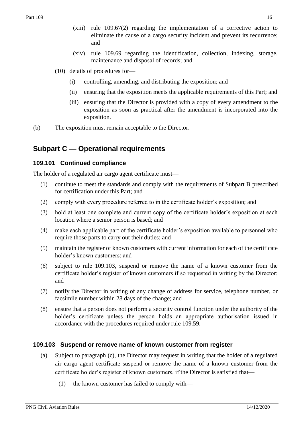- (xiii) rule 109.67(2) regarding the implementation of a corrective action to eliminate the cause of a cargo security incident and prevent its recurrence; and
- (xiv) rule 109.69 regarding the identification, collection, indexing, storage, maintenance and disposal of records; and
- (10) details of procedures for—
	- (i) controlling, amending, and distributing the exposition; and
	- (ii) ensuring that the exposition meets the applicable requirements of this Part; and
	- (iii) ensuring that the Director is provided with a copy of every amendment to the exposition as soon as practical after the amendment is incorporated into the exposition.
- (b) The exposition must remain acceptable to the Director.

## <span id="page-15-0"></span>**Subpart C — Operational requirements**

#### <span id="page-15-1"></span>**109.101 Continued compliance**

The holder of a regulated air cargo agent certificate must—

- (1) continue to meet the standards and comply with the requirements of Subpart B prescribed for certification under this Part; and
- (2) comply with every procedure referred to in the certificate holder's exposition; and
- (3) hold at least one complete and current copy of the certificate holder's exposition at each location where a senior person is based; and
- (4) make each applicable part of the certificate holder's exposition available to personnel who require those parts to carry out their duties; and
- (5) maintain the register of known customers with current information for each of the certificate holder's known customers; and
- (6) subject to rule 109.103, suspend or remove the name of a known customer from the certificate holder's register of known customers if so requested in writing by the Director; and
- (7) notify the Director in writing of any change of address for service, telephone number, or facsimile number within 28 days of the change; and
- (8) ensure that a person does not perform a security control function under the authority of the holder's certificate unless the person holds an appropriate authorisation issued in accordance with the procedures required under rule 109.59.

#### <span id="page-15-2"></span>**109.103 Suspend or remove name of known customer from register**

- (a) Subject to paragraph (c), the Director may request in writing that the holder of a regulated air cargo agent certificate suspend or remove the name of a known customer from the certificate holder's register of known customers, if the Director is satisfied that—
	- (1) the known customer has failed to comply with—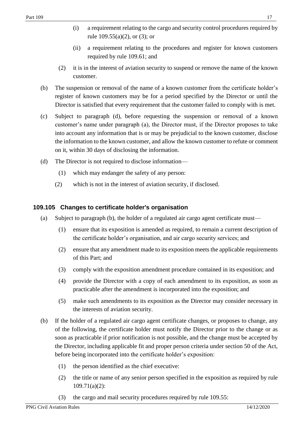- (i) a requirement relating to the cargo and security control procedures required by rule  $109.55(a)(2)$ , or  $(3)$ ; or
- (ii) a requirement relating to the procedures and register for known customers required by rule 109.61; and
- (2) it is in the interest of aviation security to suspend or remove the name of the known customer.
- (b) The suspension or removal of the name of a known customer from the certificate holder's register of known customers may be for a period specified by the Director or until the Director is satisfied that every requirement that the customer failed to comply with is met.
- (c) Subject to paragraph (d), before requesting the suspension or removal of a known customer's name under paragraph (a), the Director must, if the Director proposes to take into account any information that is or may be prejudicial to the known customer, disclose the information to the known customer, and allow the known customer to refute or comment on it, within 30 days of disclosing the information.
- (d) The Director is not required to disclose information—
	- (1) which may endanger the safety of any person:
	- (2) which is not in the interest of aviation security, if disclosed.

### <span id="page-16-0"></span>**109.105 Changes to certificate holder's organisation**

- (a) Subject to paragraph (b), the holder of a regulated air cargo agent certificate must—
	- (1) ensure that its exposition is amended as required, to remain a current description of the certificate holder's organisation, and air cargo security services; and
	- (2) ensure that any amendment made to its exposition meets the applicable requirements of this Part; and
	- (3) comply with the exposition amendment procedure contained in its exposition; and
	- (4) provide the Director with a copy of each amendment to its exposition, as soon as practicable after the amendment is incorporated into the exposition; and
	- (5) make such amendments to its exposition as the Director may consider necessary in the interests of aviation security.
- (b) If the holder of a regulated air cargo agent certificate changes, or proposes to change, any of the following, the certificate holder must notify the Director prior to the change or as soon as practicable if prior notification is not possible, and the change must be accepted by the Director, including applicable fit and proper person criteria under section 50 of the Act, before being incorporated into the certificate holder's exposition:
	- (1) the person identified as the chief executive:
	- (2) the title or name of any senior person specified in the exposition as required by rule 109.71(a)(2):
	- (3) the cargo and mail security procedures required by rule 109.55: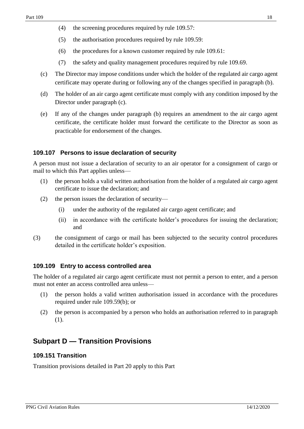- (4) the screening procedures required by rule 109.57:
- (5) the authorisation procedures required by rule 109.59:
- (6) the procedures for a known customer required by rule 109.61:
- (7) the safety and quality management procedures required by rule 109.69.
- (c) The Director may impose conditions under which the holder of the regulated air cargo agent certificate may operate during or following any of the changes specified in paragraph (b).
- (d) The holder of an air cargo agent certificate must comply with any condition imposed by the Director under paragraph (c).
- (e) If any of the changes under paragraph (b) requires an amendment to the air cargo agent certificate, the certificate holder must forward the certificate to the Director as soon as practicable for endorsement of the changes.

#### <span id="page-17-0"></span>**109.107 Persons to issue declaration of security**

A person must not issue a declaration of security to an air operator for a consignment of cargo or mail to which this Part applies unless—

- (1) the person holds a valid written authorisation from the holder of a regulated air cargo agent certificate to issue the declaration; and
- (2) the person issues the declaration of security—
	- (i) under the authority of the regulated air cargo agent certificate; and
	- (ii) in accordance with the certificate holder's procedures for issuing the declaration; and
- (3) the consignment of cargo or mail has been subjected to the security control procedures detailed in the certificate holder's exposition.

#### <span id="page-17-1"></span>**109.109 Entry to access controlled area**

The holder of a regulated air cargo agent certificate must not permit a person to enter, and a person must not enter an access controlled area unless—

- (1) the person holds a valid written authorisation issued in accordance with the procedures required under rule 109.59(b); or
- (2) the person is accompanied by a person who holds an authorisation referred to in paragraph (1).

## <span id="page-17-2"></span>**Subpart D — Transition Provisions**

#### <span id="page-17-3"></span>**109.151 Transition**

Transition provisions detailed in Part 20 apply to this Part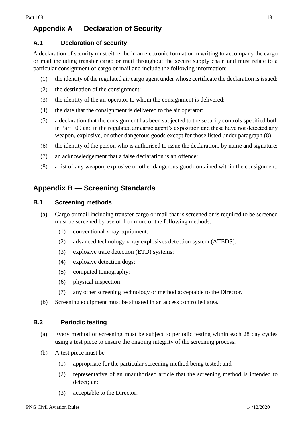# <span id="page-18-0"></span>**Appendix A — Declaration of Security**

### <span id="page-18-1"></span>**A.1 Declaration of security**

A declaration of security must either be in an electronic format or in writing to accompany the cargo or mail including transfer cargo or mail throughout the secure supply chain and must relate to a particular consignment of cargo or mail and include the following information:

- (1) the identity of the regulated air cargo agent under whose certificate the declaration is issued:
- (2) the destination of the consignment:
- (3) the identity of the air operator to whom the consignment is delivered:
- (4) the date that the consignment is delivered to the air operator:
- (5) a declaration that the consignment has been subjected to the security controls specified both in Part 109 and in the regulated air cargo agent's exposition and these have not detected any weapon, explosive, or other dangerous goods except for those listed under paragraph (8):
- (6) the identity of the person who is authorised to issue the declaration, by name and signature:
- (7) an acknowledgement that a false declaration is an offence:
- (8) a list of any weapon, explosive or other dangerous good contained within the consignment.

# <span id="page-18-2"></span>**Appendix B — Screening Standards**

#### <span id="page-18-3"></span>**B.1 Screening methods**

- (a) Cargo or mail including transfer cargo or mail that is screened or is required to be screened must be screened by use of 1 or more of the following methods:
	- (1) conventional x-ray equipment:
	- (2) advanced technology x-ray explosives detection system (ATEDS):
	- (3) explosive trace detection (ETD) systems:
	- (4) explosive detection dogs:
	- (5) computed tomography:
	- (6) physical inspection:
	- (7) any other screening technology or method acceptable to the Director.
- (b) Screening equipment must be situated in an access controlled area.

#### <span id="page-18-4"></span>**B.2 Periodic testing**

- (a) Every method of screening must be subject to periodic testing within each 28 day cycles using a test piece to ensure the ongoing integrity of the screening process.
- (b) A test piece must be—
	- (1) appropriate for the particular screening method being tested; and
	- (2) representative of an unauthorised article that the screening method is intended to detect; and
	- (3) acceptable to the Director.